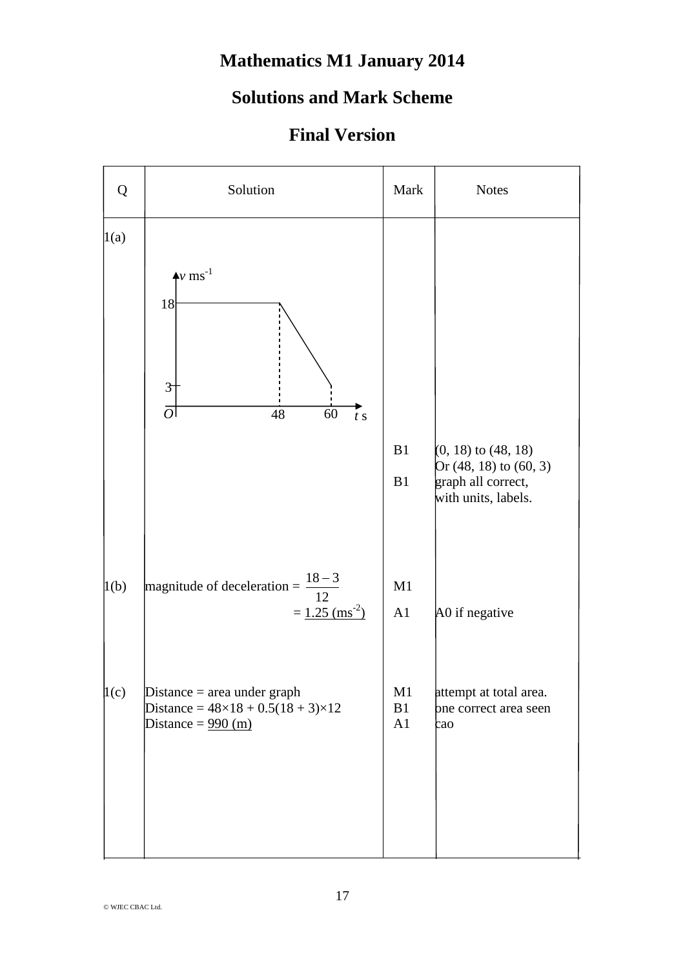## **Mathematics M1 January 2014**

## **Solutions and Mark Scheme**

## **Final Version**

| Q    | Solution                                                                                                                     | Mark           | <b>Notes</b>                                                                                   |
|------|------------------------------------------------------------------------------------------------------------------------------|----------------|------------------------------------------------------------------------------------------------|
| 1(a) | $+v$ ms <sup>-1</sup><br>18<br>$\mathfrak{F}$<br> O <br>48<br>60<br>$\frac{1}{t}$ s                                          |                |                                                                                                |
|      |                                                                                                                              | B1<br>B1       | $(0, 18)$ to $(48, 18)$<br>Or (48, 18) to (60, 3)<br>graph all correct,<br>with units, labels. |
| 1(b) | magnitude of deceleration = $\frac{18-3}{12}$<br>$= 1.25$ (ms <sup>-2</sup> )                                                | M1<br>A1       | A0 if negative                                                                                 |
| 1(c) | Distance $=$ area under graph<br>Distance = $48 \times 18 + 0.5(18 + 3) \times 12$<br>Distance = $\frac{990 \text{ (m)}}{2}$ | M1<br>B1<br>A1 | attempt at total area.<br>bne correct area seen<br>cao                                         |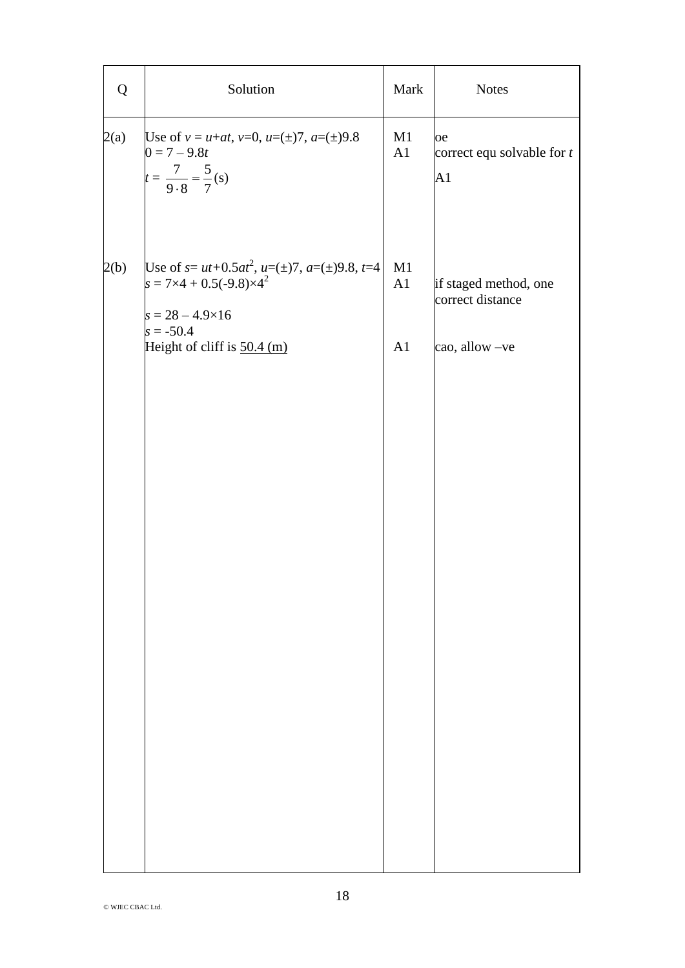| Q    | Solution                                                                                                                                                                         | Mark<br><b>Notes</b> |                                                             |  |  |
|------|----------------------------------------------------------------------------------------------------------------------------------------------------------------------------------|----------------------|-------------------------------------------------------------|--|--|
| 2(a) | Use of $v = u+at$ , $v=0$ , $u=(\pm)7$ , $a=(\pm)9.8$<br>$0 = 7 - 9.8t$<br>$t = \frac{7}{9 \cdot 8} = \frac{5}{7}$ (s)                                                           | M1<br>A1             | þе<br>correct equ solvable for $t$<br> A1                   |  |  |
| 2(b) | Use of $s = ut+0.5at^2$ , $u=(\pm)7$ , $a=(\pm)9.8$ , $t=4$<br>$s = 7 \times 4 + 0.5(-9.8) \times 4^2$<br>$s = 28 - 4.9 \times 16$<br>$s = -50.4$<br>Height of cliff is 50.4 (m) | M1<br>A1<br>A1       | if staged method, one<br>correct distance<br>cao, allow -ve |  |  |
|      |                                                                                                                                                                                  |                      |                                                             |  |  |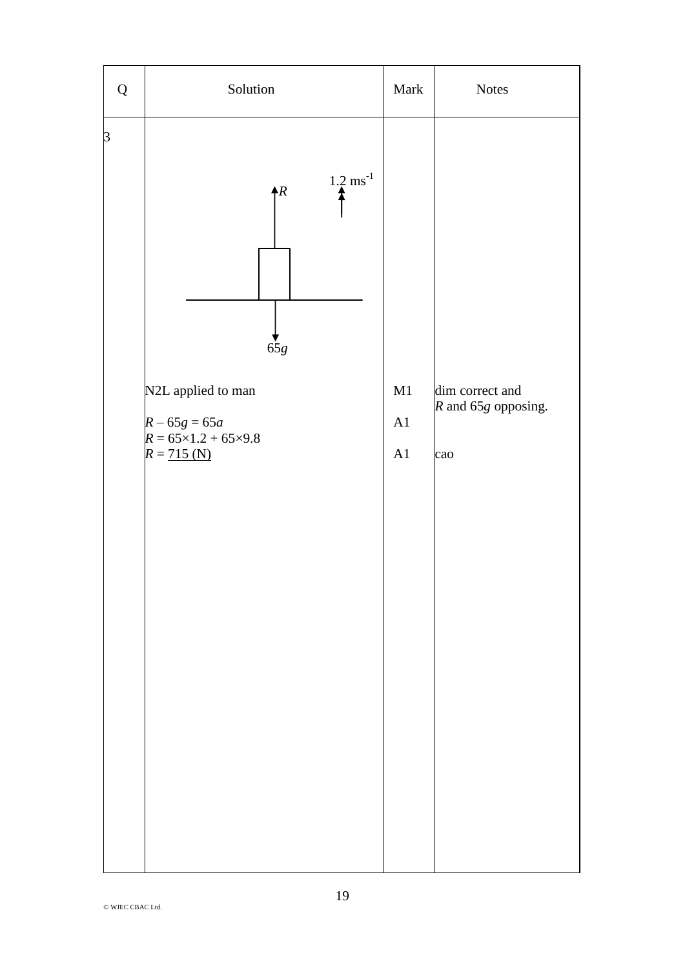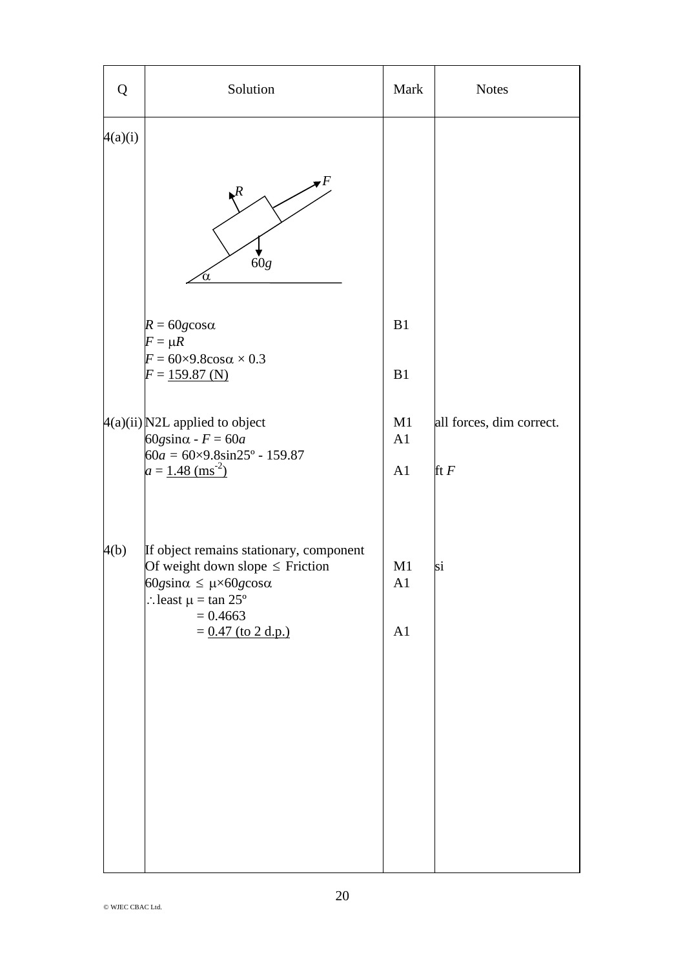| Q       | Solution                                                                                                                                                                                                        | Mark           | <b>Notes</b>                       |
|---------|-----------------------------------------------------------------------------------------------------------------------------------------------------------------------------------------------------------------|----------------|------------------------------------|
| 4(a)(i) | F<br>$\mathcal{R}$<br>60g<br>α                                                                                                                                                                                  |                |                                    |
|         | $R = 60g\cos\alpha$<br>$F = \mu R$<br>$F = 60 \times 9.8 \cos \alpha \times 0.3$<br>$F = 159.87$ (N)                                                                                                            | B1<br>B1       |                                    |
|         | $4(a)(ii)$ N2L applied to object<br>$60$ gsin $\alpha$ - $F = 60a$<br>$60a = 60 \times 9.8 \sin 25^{\circ} - 159.87$<br>$a = 1.48$ (ms <sup>-2</sup> )                                                          | M1<br>A1<br>A1 | all forces, dim correct.<br>ft $F$ |
| 4(b)    | If object remains stationary, component<br>Of weight down slope $\leq$ Friction<br>$60$ gsin $\alpha \leq \mu \times 60$ gcos $\alpha$<br>: least $\mu = \tan 25^{\circ}$<br>$= 0.4663$<br>$= 0.47$ (to 2 d.p.) | M1<br>A1<br>A1 | si                                 |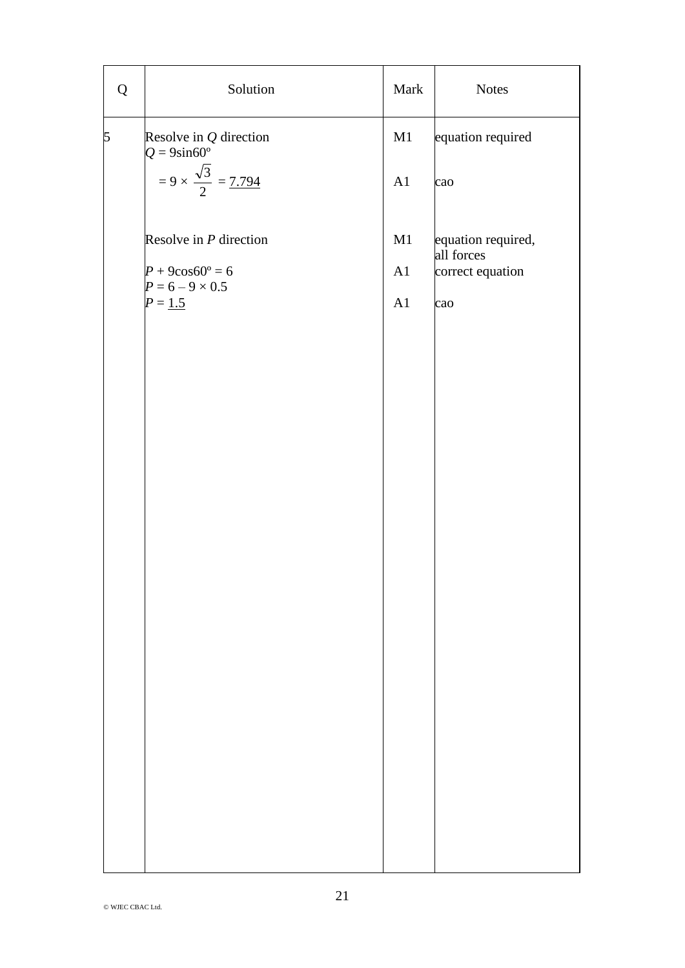| Q              | Solution                                                        | Mark     | <b>Notes</b>                     |
|----------------|-----------------------------------------------------------------|----------|----------------------------------|
| $\overline{5}$ | Resolve in $Q$ direction<br>$Q = 9\sin 60^\circ$                | M1       | equation required                |
|                | $= 9 \times \frac{\sqrt{3}}{2} = 7.794$                         | A1       | cao                              |
|                | Resolve in $P$ direction                                        | M1       | equation required,<br>all forces |
|                | $P + 9\cos 60^\circ = 6$<br>$P = 6 - 9 \times 0.5$<br>$P = 1.5$ | A1<br>A1 | correct equation<br>cao          |
|                |                                                                 |          |                                  |
|                |                                                                 |          |                                  |
|                |                                                                 |          |                                  |
|                |                                                                 |          |                                  |
|                |                                                                 |          |                                  |
|                |                                                                 |          |                                  |
|                |                                                                 |          |                                  |
|                |                                                                 |          |                                  |
|                |                                                                 |          |                                  |
|                |                                                                 |          |                                  |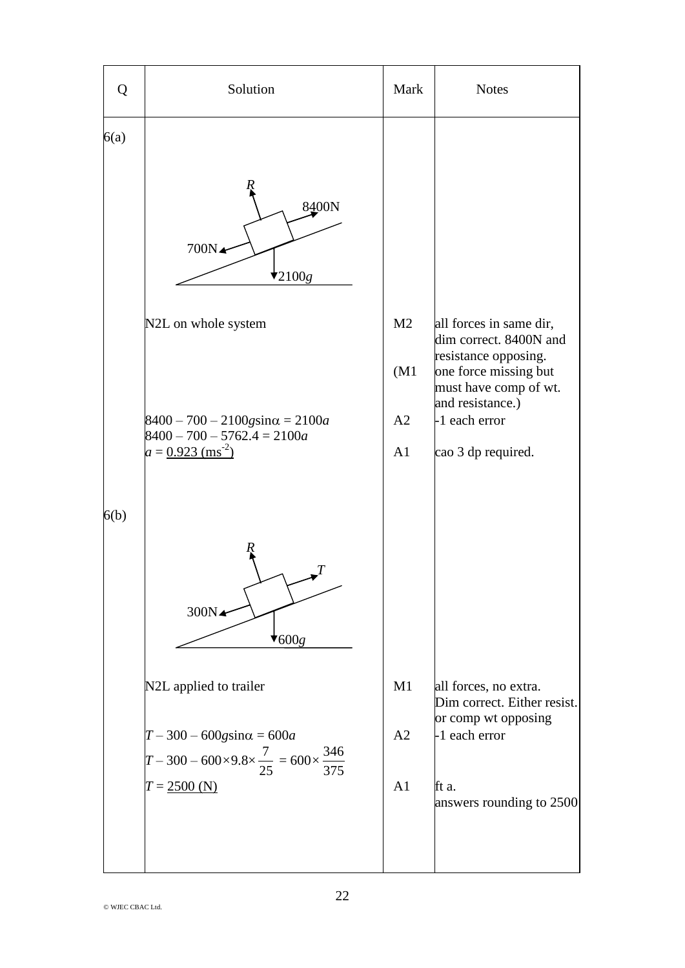| Q    | Solution                                                                                                            | Mark           | <b>Notes</b>                                                           |
|------|---------------------------------------------------------------------------------------------------------------------|----------------|------------------------------------------------------------------------|
| 6(a) |                                                                                                                     |                |                                                                        |
|      | 8400N<br>700N∡<br>$\star_{2100g}$                                                                                   |                |                                                                        |
|      | M <sub>2</sub><br>N2L on whole system<br>(M1)                                                                       |                | all forces in same dir,<br>dim correct. 8400N and                      |
|      |                                                                                                                     |                | resistance opposing.<br>one force missing but<br>must have comp of wt. |
|      | $8400 - 700 - 2100$ gsin $\alpha = 2100a$<br>$8400 - 700 - 5762.4 = 2100a$                                          | A2             | and resistance.)<br>$-1$ each error                                    |
|      | $a = 0.923$ (ms <sup>-2</sup> )                                                                                     | A <sub>1</sub> | cao 3 dp required.                                                     |
| 6(b) |                                                                                                                     |                |                                                                        |
|      | 300N <sup><math>\triangle</math></sup><br>7600g                                                                     |                |                                                                        |
|      | N2L applied to trailer                                                                                              | M1             | all forces, no extra.<br>Dim correct. Either resist.                   |
|      | $T - 300 - 600$ gsin $\alpha = 600a$<br>$T - 300 - 600 \times 9.8 \times \frac{7}{25} = 600 \times \frac{346}{375}$ | A <sub>2</sub> | or comp wt opposing<br>-1 each error                                   |
|      | $T = 2500$ (N)                                                                                                      | A1             | lft a.<br>answers rounding to 2500                                     |
|      |                                                                                                                     |                |                                                                        |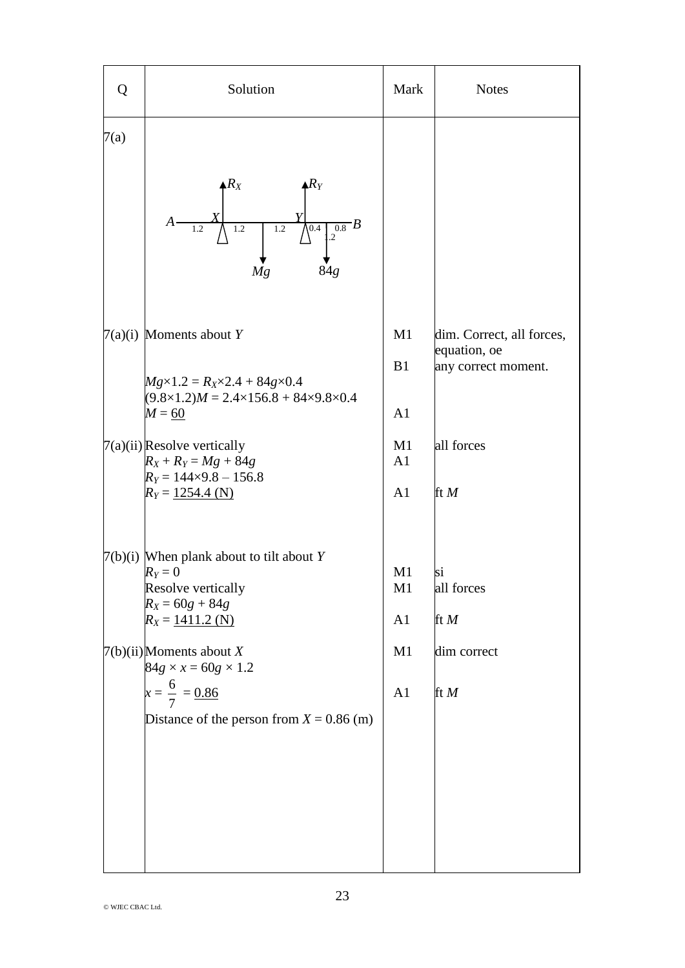| Q    | Solution                                                                                                                                                | Mark                                   | <b>Notes</b>                                                     |
|------|---------------------------------------------------------------------------------------------------------------------------------------------------------|----------------------------------------|------------------------------------------------------------------|
| 7(a) | $\triangle R_X$<br>${\mathcal R}_Y$<br>$A \frac{1}{1}$<br>$\overline{0.8}B$<br>$1.2 \sqrt{0.4}$<br>$\overline{1.2}$<br>1.2<br>$\cdot$ 2<br>84g<br>Mg    |                                        |                                                                  |
|      | $7(a)(i)$ Moments about Y<br>$Mg \times 1.2 = R_X \times 2.4 + 84g \times 0.4$<br>$(9.8\times1.2)M = 2.4\times156.8 + 84\times9.8\times0.4$<br>$M = 60$ | M1<br>B1<br>A <sub>1</sub>             | dim. Correct, all forces,<br>equation, oe<br>any correct moment. |
|      | $7(a)(ii)$ Resolve vertically<br>$R_X + R_Y = Mg + 84g$<br>$R_Y = 144 \times 9.8 - 156.8$<br>$R_Y = 1254.4$ (N)                                         | M1<br>A <sub>1</sub><br>A1             | all forces<br>ft $M$                                             |
|      | $7(b)(i)$ When plank about to tilt about Y<br>$R_Y=0$<br>Resolve vertically<br>$R_X = 60g + 84g$<br>$R_X = 1411.2$ (N)                                  | M <sub>1</sub><br>M1<br>A <sub>1</sub> | si<br>all forces<br>ft $M$                                       |
|      | $7(b)(ii)$ Moments about X<br>$84g \times x = 60g \times 1.2$<br>$x = \frac{6}{7} = \frac{0.86}{x}$<br>Distance of the person from $X = 0.86$ (m)       | M1<br>A <sub>1</sub>                   | dim correct<br>ft $M$                                            |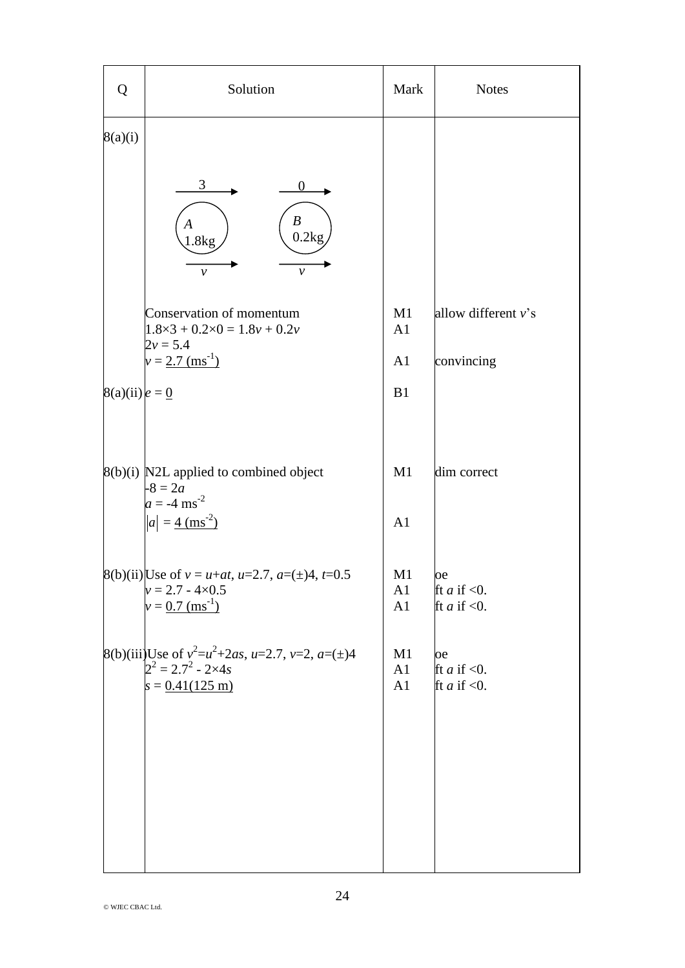| <b>Notes</b>           |
|------------------------|
|                        |
|                        |
| allow different $v$ 's |
|                        |
|                        |
|                        |
|                        |
|                        |
|                        |
|                        |